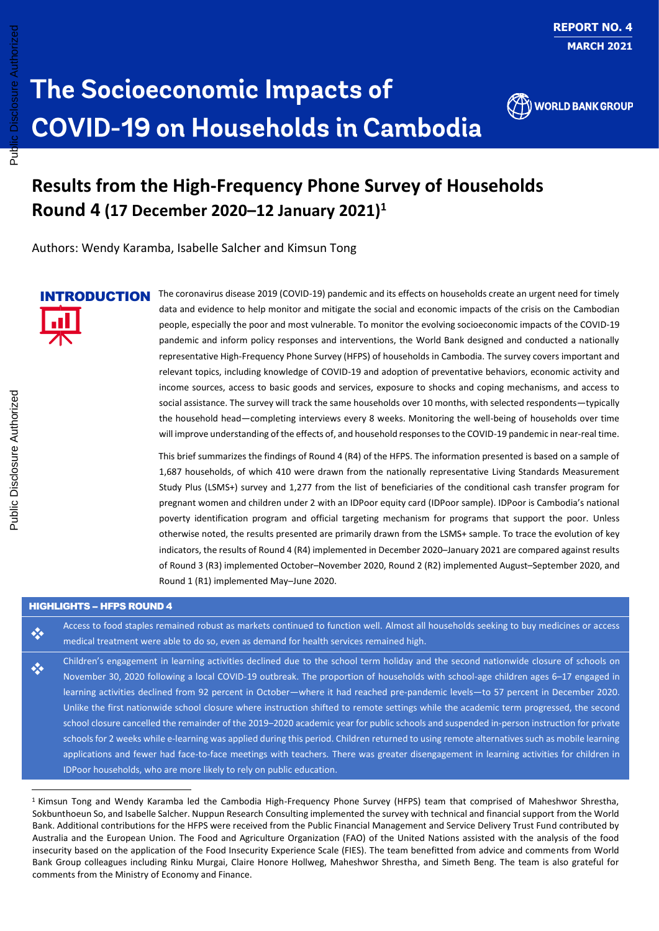

# **Results from the High-Frequency Phone Survey of Households Round 4 (17 December 2020–12 January 2021) 1**

Authors: Wendy Karamba, Isabelle Salcher and Kimsun Tong

The coronavirus disease 2019 (COVID-19) pandemic and its effects on households create an urgent need for timely data and evidence to help monitor and mitigate the social and economic impacts of the crisis on the Cambodian people, especially the poor and most vulnerable. To monitor the evolving socioeconomic impacts of the COVID-19 pandemic and inform policy responses and interventions, the World Bank designed and conducted a nationally representative High-Frequency Phone Survey (HFPS) of households in Cambodia. The survey covers important and relevant topics, including knowledge of COVID-19 and adoption of preventative behaviors, economic activity and income sources, access to basic goods and services, exposure to shocks and coping mechanisms, and access to social assistance. The survey will track the same households over 10 months, with selected respondents—typically the household head—completing interviews every 8 weeks. Monitoring the well-being of households over time will improve understanding of the effects of, and household responses to the COVID-19 pandemic in near-real time. INTRODUCTION

> This brief summarizes the findings of Round 4 (R4) of the HFPS. The information presented is based on a sample of 1,687 households, of which 410 were drawn from the nationally representative Living Standards Measurement Study Plus (LSMS+) survey and 1,277 from the list of beneficiaries of the conditional cash transfer program for pregnant women and children under 2 with an IDPoor equity card (IDPoor sample). IDPoor is Cambodia's national poverty identification program and official targeting mechanism for programs that support the poor. Unless otherwise noted, the results presented are primarily drawn from the LSMS+ sample. To trace the evolution of key indicators, the results of Round 4 (R4) implemented in December 2020–January 2021 are compared against results of Round 3 (R3) implemented October–November 2020, Round 2 (R2) implemented August–September 2020, and Round 1 (R1) implemented May–June 2020.

#### **HIGHLIGHTS - HFPS ROUND 4**

Access to food staples remained robust as markets continued to function well. Almost all households seeking to buy medicines or access medical treatment were able to do so, even as demand for health services remained high. ❖

Children's engagement in learning activities declined due to the school term holiday and the second nationwide closure of schools on November 30, 2020 following a local COVID-19 outbreak. The proportion of households with school-age children ages 6–17 engaged in learning activities declined from 92 percent in October—where it had reached pre-pandemic levels—to 57 percent in December 2020. Unlike the first nationwide school closure where instruction shifted to remote settings while the academic term progressed, the second school closure cancelled the remainder of the 2019–2020 academic year for public schools and suspended in-person instruction for private schools for 2 weeks while e-learning was applied during this period. Children returned to using remote alternatives such as mobile learning applications and fewer had face-to-face meetings with teachers. There was greater disengagement in learning activities for children in IDPoor households, who are more likely to rely on public education.

<sup>1</sup> Kimsun Tong and Wendy Karamba led the Cambodia High-Frequency Phone Survey (HFPS) team that comprised of Maheshwor Shrestha, Sokbunthoeun So, and Isabelle Salcher. Nuppun Research Consulting implemented the survey with technical and financial support from the World Bank. Additional contributions for the HFPS were received from the Public Financial Management and Service Delivery Trust Fund contributed by Australia and the European Union. The Food and Agriculture Organization (FAO) of the United Nations assisted with the analysis of the food insecurity based on the application of the Food Insecurity Experience Scale (FIES). The team benefitted from advice and comments from World Bank Group colleagues including Rinku Murgai, Claire Honore Hollweg, Maheshwor Shrestha, and Simeth Beng. The team is also grateful for comments from the Ministry of Economy and Finance.

❖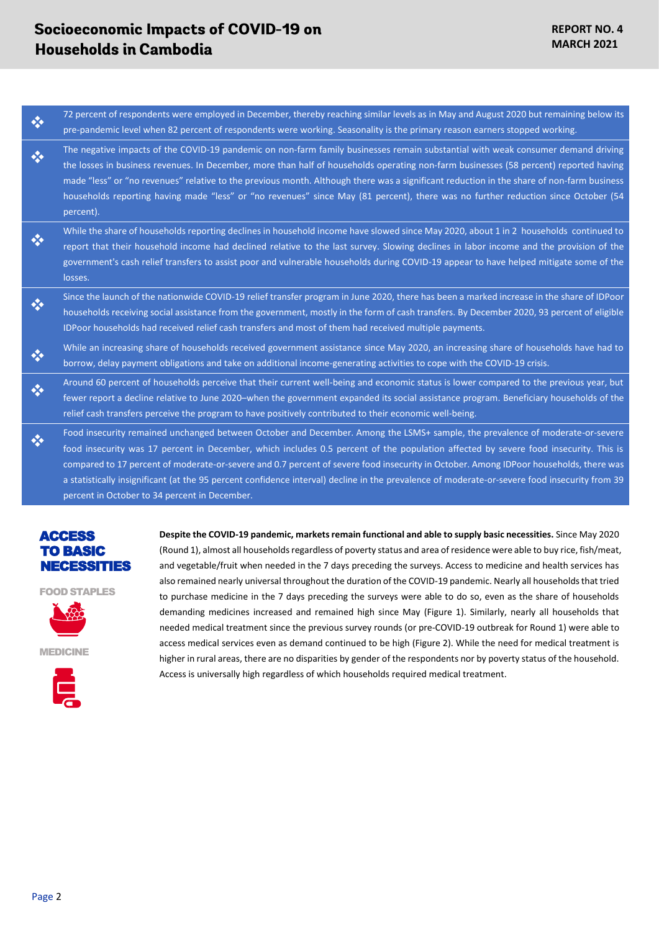- 72 percent of respondents were employed in December, thereby reaching similar levels as in May and August 2020 but remaining below its pre-pandemic level when 82 percent of respondents were working. Seasonality is the primary reason earners stopped working. ❖
- The negative impacts of the COVID-19 pandemic on non-farm family businesses remain substantial with weak consumer demand driving the losses in business revenues. In December, more than half of households operating non-farm businesses (58 percent) reported having made "less" or "no revenues" relative to the previous month. Although there was a significant reduction in the share of non-farm business households reporting having made "less" or "no revenues" since May (81 percent), there was no further reduction since October (54 percent). ❖
- While the share of households reporting declines in household income have slowed since May 2020, about 1 in 2 households continued to report that their household income had declined relative to the last survey. Slowing declines in labor income and the provision of the government's cash relief transfers to assist poor and vulnerable households during COVID-19 appear to have helped mitigate some of the losses. ❖
- Since the launch of the nationwide COVID-19 relief transfer program in June 2020, there has been a marked increase in the share of IDPoor households receiving social assistance from the government, mostly in the form of cash transfers. By December 2020, 93 percent of eligible IDPoor households had received relief cash transfers and most of them had received multiple payments. ❖
- While an increasing share of households received government assistance since May 2020, an increasing share of households have had to borrow, delay payment obligations and take on additional income-generating activities to cope with the COVID-19 crisis. ❖
- Around 60 percent of households perceive that their current well-being and economic status is lower compared to the previous year, but fewer report a decline relative to June 2020–when the government expanded its social assistance program. Beneficiary households of the relief cash transfers perceive the program to have positively contributed to their economic well-being. ❖
- Food insecurity remained unchanged between October and December. Among the LSMS+ sample, the prevalence of moderate-or-severe food insecurity was 17 percent in December, which includes 0.5 percent of the population affected by severe food insecurity. This is compared to 17 percent of moderate-or-severe and 0.7 percent of severe food insecurity in October. Among IDPoor households, there was a statistically insignificant (at the 95 percent confidence interval) decline in the prevalence of moderate-or-severe food insecurity from 39 percent in October to 34 percent in December. ❖

### ACCESS TO BASIC NECESSITIES

FOOD STAPLES



MEDICINE



**Despite the COVID-19 pandemic, markets remain functional and able to supply basic necessities.** Since May 2020 (Round 1), almost all households regardless of poverty status and area of residence were able to buy rice, fish/meat, and vegetable/fruit when needed in the 7 days preceding the surveys. Access to medicine and health services has also remained nearly universal throughout the duration of the COVID-19 pandemic. Nearly all households that tried to purchase medicine in the 7 days preceding the surveys were able to do so, even as the share of households demanding medicines increased and remained high since May [\(Figure 1\)](#page-2-0). Similarly, nearly all households that needed medical treatment since the previous survey rounds (or pre-COVID-19 outbreak for Round 1) were able to access medical services even as demand continued to be high [\(Figure 2\)](#page-2-1). While the need for medical treatment is higher in rural areas, there are no disparities by gender of the respondents nor by poverty status of the household. Access is universally high regardless of which households required medical treatment.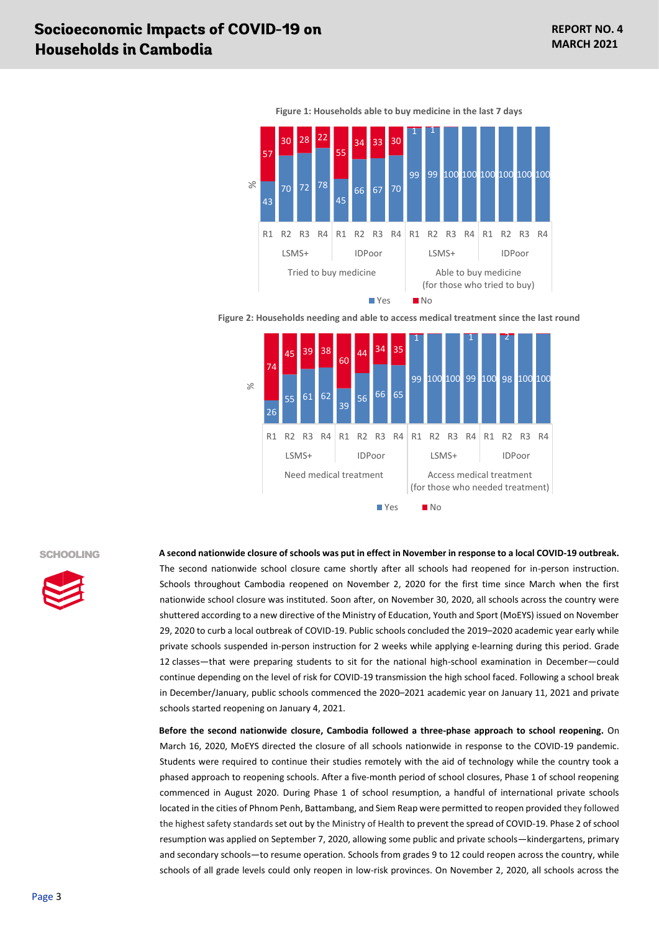<span id="page-2-0"></span>

**Figure 1: Households able to buy medicine in the last 7 days**

<span id="page-2-1"></span>**Figure 2: Households needing and able to access medical treatment since the last round**



#### SCHOOLING



**A second nationwide closure of schools was put in effect in November in response to a local COVID-19 outbreak.** The second nationwide school closure came shortly after all schools had reopened for in-person instruction. Schools throughout Cambodia reopened on November 2, 2020 for the first time since March when the first nationwide school closure was instituted. Soon after, on November 30, 2020, all schools across the country were shuttered according to a new directive of the Ministry of Education, Youth and Sport (MoEYS) issued on November 29, 2020 to curb a local outbreak of COVID-19. Public schools concluded the 2019–2020 academic year early while private schools suspended in-person instruction for 2 weeks while applying e-learning during this period. Grade 12 classes—that were preparing students to sit for the national high-school examination in December—could continue depending on the level of risk for COVID-19 transmission the high school faced. Following a school break in December/January, public schools commenced the 2020–2021 academic year on January 11, 2021 and private schools started reopening on January 4, 2021.

**Before the second nationwide closure, Cambodia followed a three-phase approach to school reopening.** On March 16, 2020, MoEYS directed the closure of all schools nationwide in response to the COVID-19 pandemic. Students were required to continue their studies remotely with the aid of technology while the country took a phased approach to reopening schools. After a five-month period of school closures, Phase 1 of school reopening commenced in August 2020. During Phase 1 of school resumption, a handful of international private schools located in the cities of Phnom Penh, Battambang, and Siem Reap were permitted to reopen provided they followed the highest safety standards set out by the Ministry of Health to prevent the spread of COVID-19. Phase 2 of school resumption was applied on September 7, 2020, allowing some public and private schools—kindergartens, primary and secondary schools—to resume operation. Schools from grades 9 to 12 could reopen across the country, while schools of all grade levels could only reopen in low-risk provinces. On November 2, 2020, all schools across the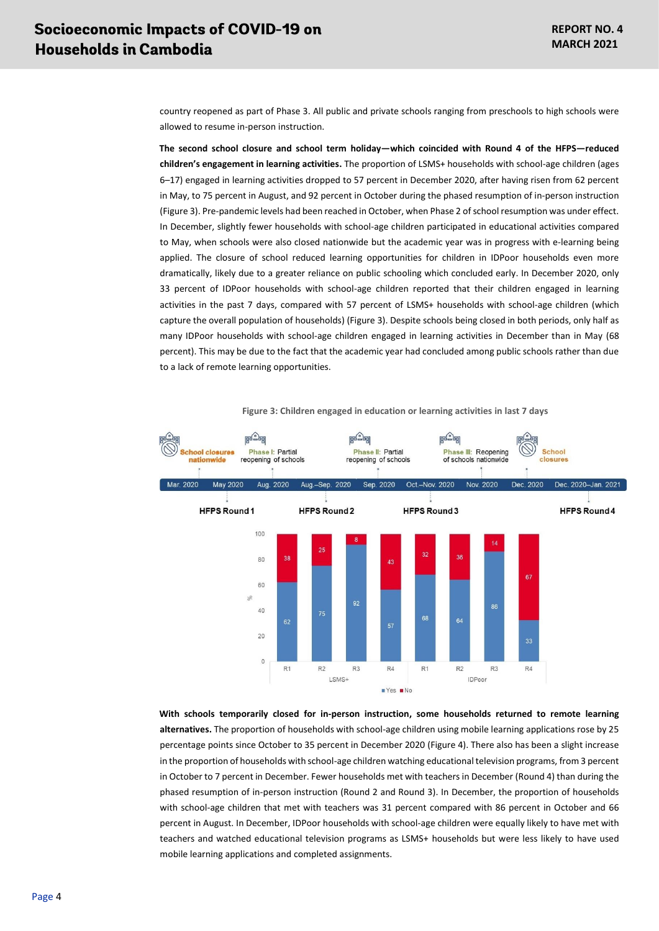country reopened as part of Phase 3. All public and private schools ranging from preschools to high schools were allowed to resume in-person instruction.

**The second school closure and school term holiday—which coincided with Round 4 of the HFPS—reduced children's engagement in learning activities.** The proportion of LSMS+ households with school-age children (ages 6–17) engaged in learning activities dropped to 57 percent in December 2020, after having risen from 62 percent in May, to 75 percent in August, and 92 percent in October during the phased resumption of in-person instruction [\(Figure 3\)](#page-3-0). Pre-pandemic levels had been reached in October, when Phase 2 of school resumption was under effect. In December, slightly fewer households with school-age children participated in educational activities compared to May, when schools were also closed nationwide but the academic year was in progress with e-learning being applied. The closure of school reduced learning opportunities for children in IDPoor households even more dramatically, likely due to a greater reliance on public schooling which concluded early. In December 2020, only 33 percent of IDPoor households with school-age children reported that their children engaged in learning activities in the past 7 days, compared with 57 percent of LSMS+ households with school-age children (which capture the overall population of households) [\(Figure 3\)](#page-3-0). Despite schools being closed in both periods, only half as many IDPoor households with school-age children engaged in learning activities in December than in May (68 percent). This may be due to the fact that the academic year had concluded among public schools rather than due to a lack of remote learning opportunities.

<span id="page-3-0"></span>

**Figure 3: Children engaged in education or learning activities in last 7 days**

**With schools temporarily closed for in-person instruction, some households returned to remote learning alternatives.** The proportion of households with school-age children using mobile learning applications rose by 25 percentage points since October to 35 percent in December 2020 [\(Figure 4\)](#page-4-0). There also has been a slight increase in the proportion of households with school-age children watching educational television programs, from 3 percent in October to 7 percent in December. Fewer households met with teachers in December (Round 4) than during the phased resumption of in-person instruction (Round 2 and Round 3). In December, the proportion of households with school-age children that met with teachers was 31 percent compared with 86 percent in October and 66 percent in August. In December, IDPoor households with school-age children were equally likely to have met with teachers and watched educational television programs as LSMS+ households but were less likely to have used mobile learning applications and completed assignments.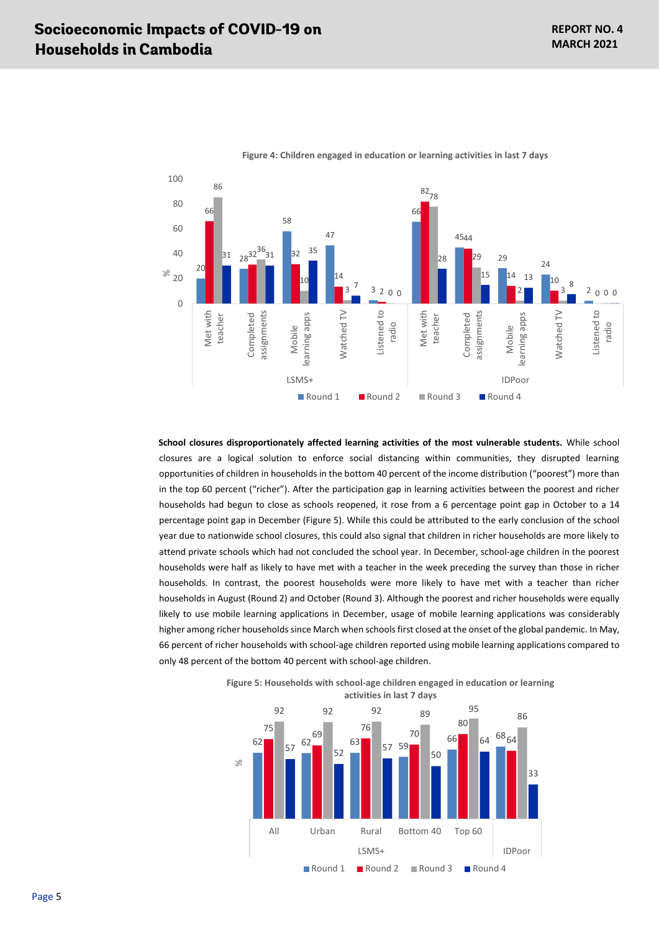<span id="page-4-0"></span>

**Figure 4: Children engaged in education or learning activities in last 7 days**

**School closures disproportionately affected learning activities of the most vulnerable students.** While school closures are a logical solution to enforce social distancing within communities, they disrupted learning opportunities of children in households in the bottom 40 percent of the income distribution ("poorest") more than in the top 60 percent ("richer"). After the participation gap in learning activities between the poorest and richer households had begun to close as schools reopened, it rose from a 6 percentage point gap in October to a 14 percentage point gap in December [\(Figure 5\)](#page-4-1). While this could be attributed to the early conclusion of the school year due to nationwide school closures, this could also signal that children in richer households are more likely to attend private schools which had not concluded the school year. In December, school-age children in the poorest households were half as likely to have met with a teacher in the week preceding the survey than those in richer households. In contrast, the poorest households were more likely to have met with a teacher than richer households in August (Round 2) and October (Round 3). Although the poorest and richer households were equally likely to use mobile learning applications in December, usage of mobile learning applications was considerably higher among richer households since March when schools first closed at the onset of the global pandemic. In May, 66 percent of richer households with school-age children reported using mobile learning applications compared to only 48 percent of the bottom 40 percent with school-age children.



<span id="page-4-1"></span>**Figure 5: Households with school-age children engaged in education or learning activities in last 7 days**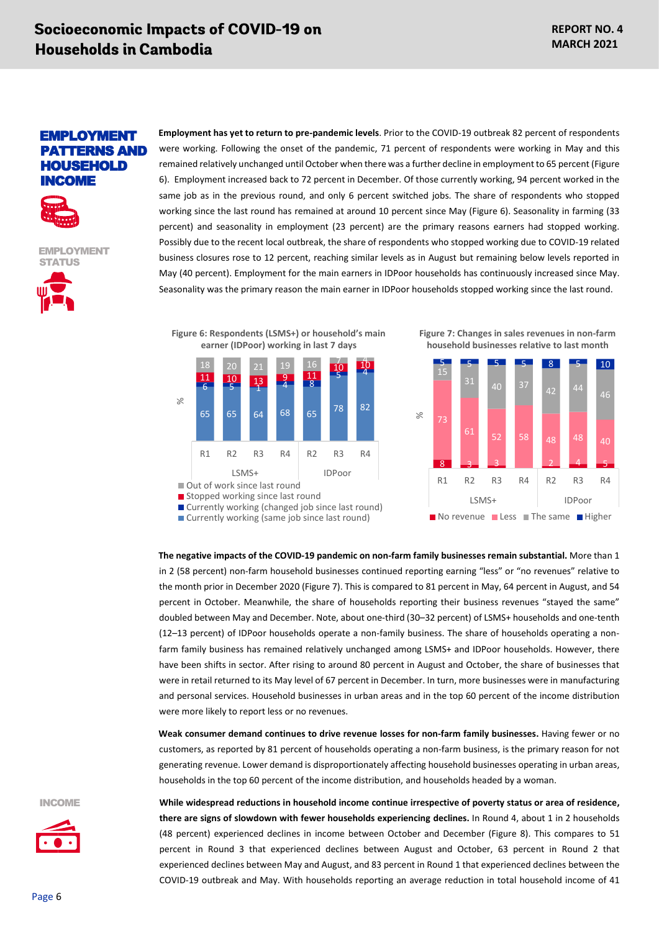### EMPLOYMENT PATTERNS AND **HOUSEHOLD** [INCOME](#page-5-0)



EMPLOYMENT **STATUS** 



**Employment has yet to return to pre-pandemic levels**. Prior to the COVID-19 outbreak 82 percent of respondents were working. Following the onset of the pandemic, 71 percent of respondents were working in May and this remained relatively unchanged until October when there was a further decline in employment to 65 percent [\(Figure](#page-5-0)  6). Employment increased back to 72 percent in December. Of those currently working, 94 percent worked in the same job as in the previous round, and only 6 percent switched jobs. The share of respondents who stopped working since the last round has remained at around 10 percent since May [\(Figure 6\)](#page-5-0). Seasonality in farming (33 percent) and seasonality in employment (23 percent) are the primary reasons earners had stopped working. Possibly due to the recent local outbreak, the share of respondents who stopped working due to COVID-19 related business closures rose to 12 percent, reaching similar levels as in August but remaining below levels reported in May (40 percent). Employment for the main earners in IDPoor households has continuously increased since May. Seasonality was the primary reason the main earner in IDPoor households stopped working since the last round.

<span id="page-5-0"></span>



■ Currently working (same job since last round)

<span id="page-5-1"></span>**Figure 7: Changes in sales revenues in non-farm household businesses relative to last month**



**The negative impacts of the COVID-19 pandemic on non-farm family businesses remain substantial.** More than 1 in 2 (58 percent) non-farm household businesses continued reporting earning "less" or "no revenues" relative to the month prior in December 2020 [\(Figure 7\)](#page-5-1). This is compared to 81 percent in May, 64 percent in August, and 54 percent in October. Meanwhile, the share of households reporting their business revenues "stayed the same" doubled between May and December. Note, about one-third (30–32 percent) of LSMS+ households and one-tenth (12–13 percent) of IDPoor households operate a non-family business. The share of households operating a nonfarm family business has remained relatively unchanged among LSMS+ and IDPoor households. However, there have been shifts in sector. After rising to around 80 percent in August and October, the share of businesses that were in retail returned to its May level of 67 percent in December. In turn, more businesses were in manufacturing and personal services. Household businesses in urban areas and in the top 60 percent of the income distribution were more likely to report less or no revenues.

**Weak consumer demand continues to drive revenue losses for non-farm family businesses.** Having fewer or no customers, as reported by 81 percent of households operating a non-farm business, is the primary reason for not generating revenue. Lower demand is disproportionately affecting household businesses operating in urban areas, households in the top 60 percent of the income distribution, and households headed by a woman.

INCOME



**While widespread reductions in household income continue irrespective of poverty status or area of residence, there are signs of slowdown with fewer households experiencing declines.** In Round 4, about 1 in 2 households (48 percent) experienced declines in income between October and December [\(Figure 8\)](#page-6-0). This compares to 51 percent in Round 3 that experienced declines between August and October, 63 percent in Round 2 that experienced declines between May and August, and 83 percent in Round 1 that experienced declines between the COVID-19 outbreak and May. With households reporting an average reduction in total household income of 41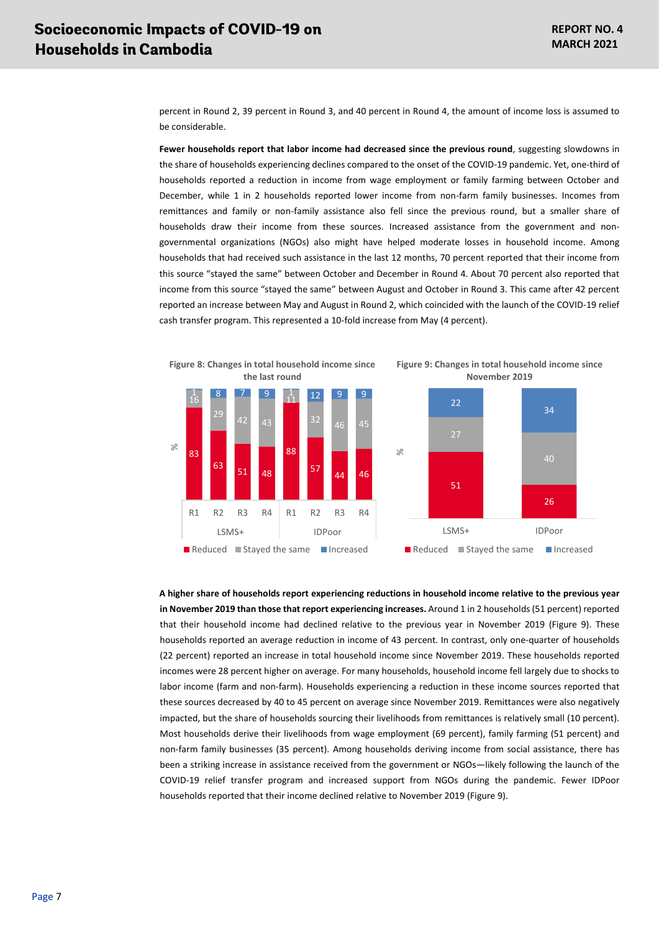percent in Round 2, 39 percent in Round 3, and 40 percent in Round 4, the amount of income loss is assumed to be considerable.

**Fewer households report that labor income had decreased since the previous round**, suggesting slowdowns in the share of households experiencing declines compared to the onset of the COVID-19 pandemic. Yet, one-third of households reported a reduction in income from wage employment or family farming between October and December, while 1 in 2 households reported lower income from non-farm family businesses. Incomes from remittances and family or non-family assistance also fell since the previous round, but a smaller share of households draw their income from these sources. Increased assistance from the government and nongovernmental organizations (NGOs) also might have helped moderate losses in household income. Among households that had received such assistance in the last 12 months, 70 percent reported that their income from this source "stayed the same" between October and December in Round 4. About 70 percent also reported that income from this source "stayed the same" between August and October in Round 3. This came after 42 percent reported an increase between May and August in Round 2, which coincided with the launch of the COVID-19 relief cash transfer program. This represented a 10-fold increase from May (4 percent).



<span id="page-6-0"></span>**Figure 8: Changes in total household income since** 

<span id="page-6-1"></span>**Figure 9: Changes in total household income since November 2019**



**A higher share of households report experiencing reductions in household income relative to the previous year in November 2019 than those that report experiencing increases.** Around 1 in 2 households (51 percent) reported that their household income had declined relative to the previous year in November 2019 [\(Figure 9\)](#page-6-1). These households reported an average reduction in income of 43 percent. In contrast, only one-quarter of households (22 percent) reported an increase in total household income since November 2019. These households reported incomes were 28 percent higher on average. For many households, household income fell largely due to shocks to labor income (farm and non-farm). Households experiencing a reduction in these income sources reported that these sources decreased by 40 to 45 percent on average since November 2019. Remittances were also negatively impacted, but the share of households sourcing their livelihoods from remittances is relatively small (10 percent). Most households derive their livelihoods from wage employment (69 percent), family farming (51 percent) and non-farm family businesses (35 percent). Among households deriving income from social assistance, there has been a striking increase in assistance received from the government or NGOs—likely following the launch of the COVID-19 relief transfer program and increased support from NGOs during the pandemic. Fewer IDPoor households reported that their income declined relative to November 2019 [\(Figure 9\).](#page-6-1)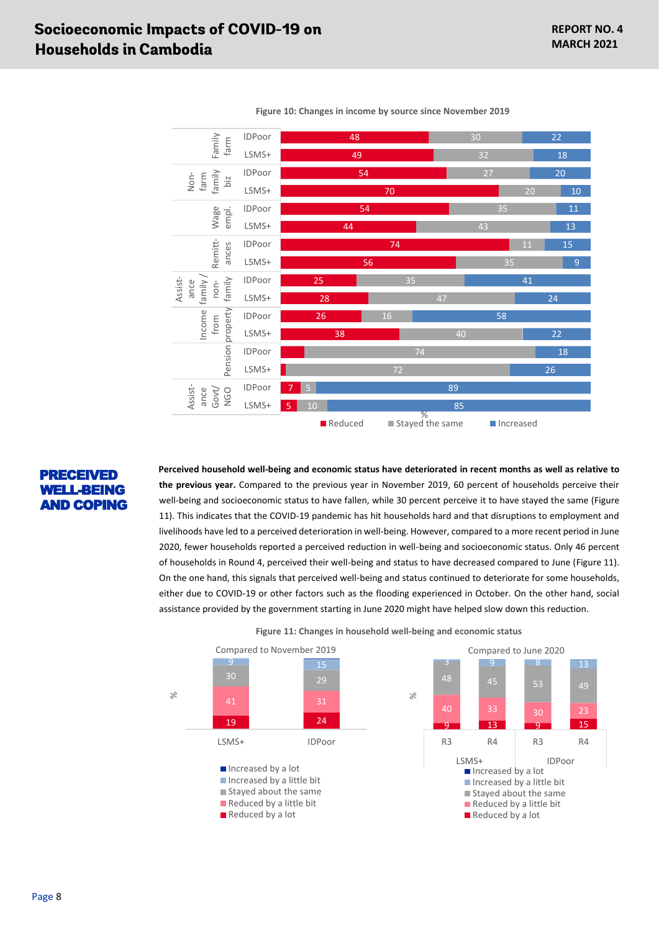

**Figure 10: Changes in income by source since November 2019**

### PRECEIVED WELL-BEING [AND COPING](#page-7-0)

**Perceived household well-being and economic status have deteriorated in recent months as well as relative to the previous year.** Compared to the previous year in November 2019, 60 percent of households perceive their well-being and socioeconomic status to have fallen, while 30 percent perceive it to have stayed the same [\(Figure](#page-7-0)  11). This indicates that the COVID-19 pandemic has hit households hard and that disruptions to employment and livelihoods have led to a perceived deterioration in well-being. However, compared to a more recent period in June 2020, fewer households reported a perceived reduction in well-being and socioeconomic status. Only 46 percent of households in Round 4, perceived their well-being and status to have decreased compared to June [\(Figure 11\)](#page-7-0). On the one hand, this signals that perceived well-being and status continued to deteriorate for some households, either due to COVID-19 or other factors such as the flooding experienced in October. On the other hand, social assistance provided by the government starting in June 2020 might have helped slow down this reduction.

<span id="page-7-0"></span>

**Figure 11: Changes in household well-being and economic status**

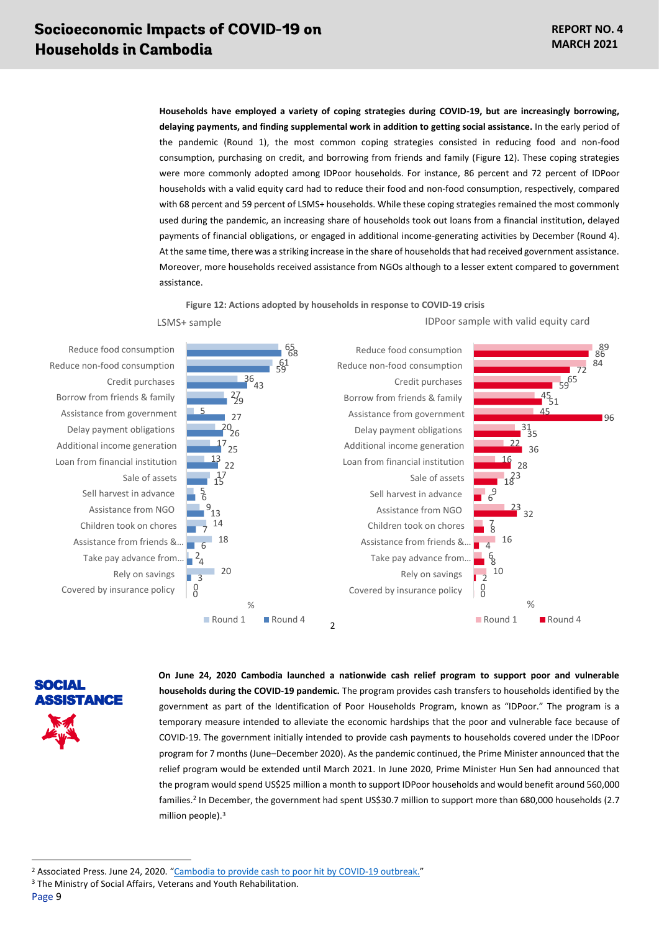IDPoor sample with valid equity card

**Households have employed a variety of coping strategies during COVID-19, but are increasingly borrowing, delaying payments, and finding supplemental work in addition to getting social assistance.** In the early period of the pandemic (Round 1), the most common coping strategies consisted in reducing food and non-food consumption, purchasing on credit, and borrowing from friends and family [\(Figure 12\)](#page-8-0). These coping strategies were more commonly adopted among IDPoor households. For instance, 86 percent and 72 percent of IDPoor households with a valid equity card had to reduce their food and non-food consumption, respectively, compared with 68 percent and 59 percent of LSMS+ households. While these coping strategies remained the most commonly used during the pandemic, an increasing share of households took out loans from a financial institution, delayed payments of financial obligations, or engaged in additional income-generating activities by December (Round 4). At the same time, there was a striking increase in the share of households that had received government assistance. Moreover, more households received assistance from NGOs although to a lesser extent compared to government assistance.

**Figure 12: Actions adopted by households in response to COVID-19 crisis**

LSMS+ sample

<span id="page-8-0"></span>

Take pay advance from… Assistance from friends &… Children took on chores Assistance from NGO Sell harvest in advance Sale of assets Loan from financial institution Additional income generation Delay payment obligations Assistance from government Borrow from friends & family

SOCIAL **SISTANCE**  **On June 24, 2020 Cambodia launched a nationwide cash relief program to support poor and vulnerable households during the COVID-19 pandemic.** The program provides cash transfers to households identified by the government as part of the Identification of Poor Households Program, known as "IDPoor." The program is a temporary measure intended to alleviate the economic hardships that the poor and vulnerable face because of COVID-19. The government initially intended to provide cash payments to households covered under the IDPoor program for 7 months (June–December 2020). As the pandemic continued, the Prime Minister announced that the relief program would be extended until March 2021. In June 2020, Prime Minister Hun Sen had announced that the program would spend US\$25 million a month to support IDPoor households and would benefit around 560,000 families.<sup>2</sup> In December, the government had spent US\$30.7 million to support more than 680,000 households (2.7 million people). 3

<sup>2</sup> Associated Press. June 24, 2020. "[Cambodia to provide cash to poor hit by COVID-19 outbreak.](https://apnews.com/article/ca47d4dee81894783f463ea977aae689)"

<sup>&</sup>lt;sup>3</sup> The Ministry of Social Affairs, Veterans and Youth Rehabilitation.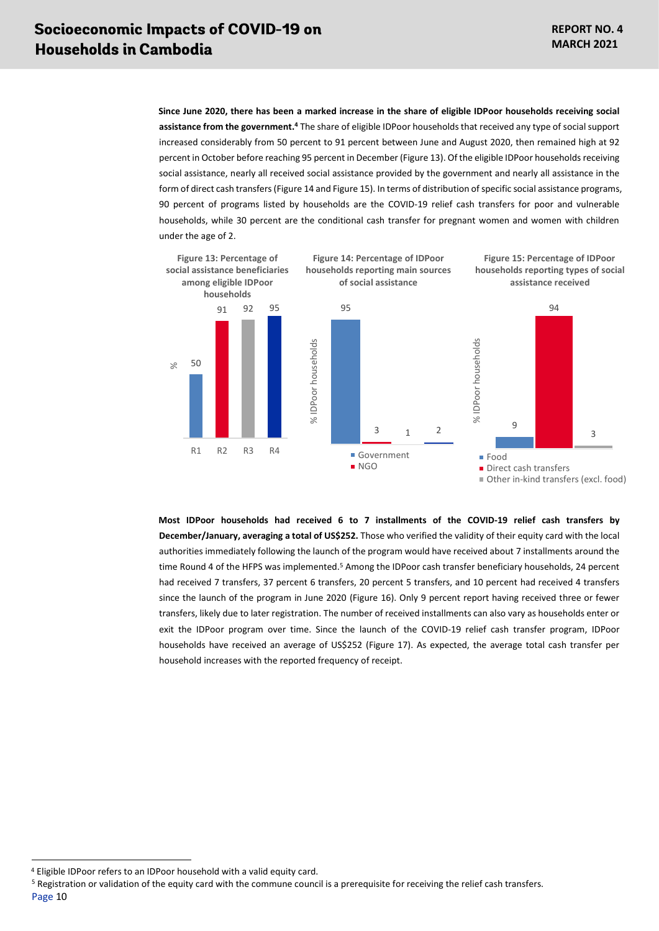**Since June 2020, there has been a marked increase in the share of eligible IDPoor households receiving social assistance from the government. <sup>4</sup>** The share of eligible IDPoor households that received any type of social support increased considerably from 50 percent to 91 percent between June and August 2020, then remained high at 92 percent in October before reaching 95 percent in December [\(Figure 13\)](#page-9-0). Of the eligible IDPoor householdsreceiving social assistance, nearly all received social assistance provided by the government and nearly all assistance in the form of direct cash transfers [\(Figure 14](#page-9-1) an[d Figure 15\)](#page-9-2). In terms of distribution of specific social assistance programs, 90 percent of programs listed by households are the COVID-19 relief cash transfers for poor and vulnerable households, while 30 percent are the conditional cash transfer for pregnant women and women with children under the age of 2.

<span id="page-9-2"></span><span id="page-9-1"></span><span id="page-9-0"></span>

**Most IDPoor households had received 6 to 7 installments of the COVID-19 relief cash transfers by December/January, averaging a total of US\$252.** Those who verified the validity of their equity card with the local authorities immediately following the launch of the program would have received about 7 installments around the time Round 4 of the HFPS was implemented.<sup>5</sup> Among the IDPoor cash transfer beneficiary households, 24 percent had received 7 transfers, 37 percent 6 transfers, 20 percent 5 transfers, and 10 percent had received 4 transfers since the launch of the program in June 2020 [\(Figure 16\)](#page-10-0). Only 9 percent report having received three or fewer transfers, likely due to later registration. The number of received installments can also vary as households enter or exit the IDPoor program over time. Since the launch of the COVID-19 relief cash transfer program, IDPoor households have received an average of US\$252 [\(Figure 17\)](#page-10-1). As expected, the average total cash transfer per household increases with the reported frequency of receipt.

<sup>4</sup> Eligible IDPoor refers to an IDPoor household with a valid equity card.

Page 10 <sup>5</sup> Registration or validation of the equity card with the commune council is a prerequisite for receiving the relief cash transfers.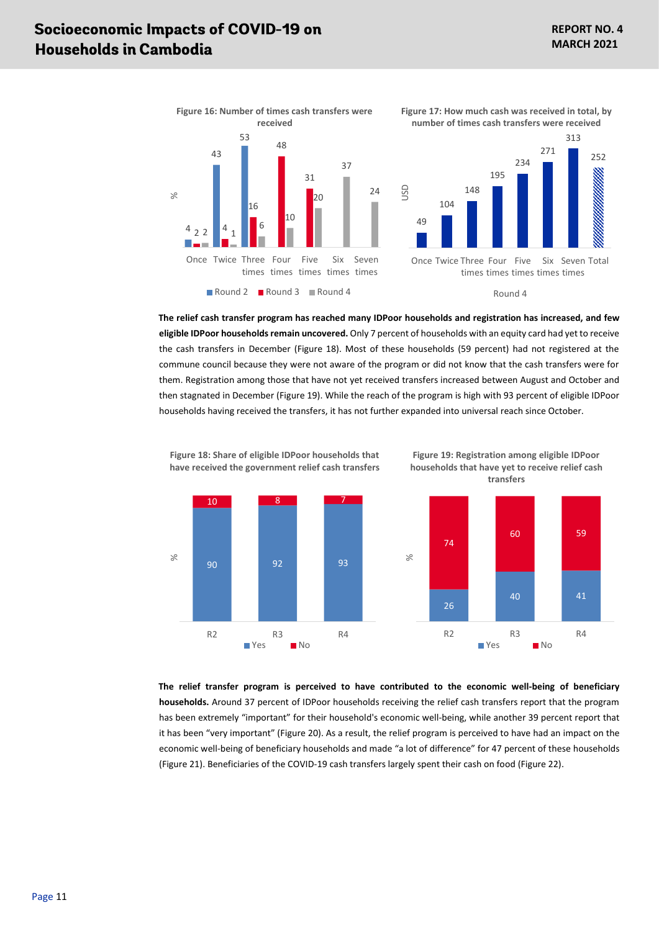<span id="page-10-1"></span> $252$ 

<span id="page-10-0"></span>

**The relief cash transfer program has reached many IDPoor households and registration has increased, and few eligible IDPoor households remain uncovered.** Only 7 percent of households with an equity card had yet to receive the cash transfers in December [\(Figure 18\)](#page-10-2). Most of these households (59 percent) had not registered at the commune council because they were not aware of the program or did not know that the cash transfers were for them. Registration among those that have not yet received transfers increased between August and October and then stagnated in December [\(Figure 19\)](#page-10-3). While the reach of the program is high with 93 percent of eligible IDPoor households having received the transfers, it has not further expanded into universal reach since October.

<span id="page-10-3"></span>**Figure 19: Registration among eligible IDPoor** 



**The relief transfer program is perceived to have contributed to the economic well-being of beneficiary households.** Around 37 percent of IDPoor households receiving the relief cash transfers report that the program has been extremely "important" for their household's economic well-being, while another 39 percent report that it has been "very important" [\(Figure 20\)](#page-11-0). As a result, the relief program is perceived to have had an impact on the economic well-being of beneficiary households and made "a lot of difference" for 47 percent of these households [\(Figure 21\)](#page-11-1). Beneficiaries of the COVID-19 cash transfers largely spent their cash on food [\(Figure 22\)](#page-11-2).

<span id="page-10-2"></span>**Figure 18: Share of eligible IDPoor households that have received the government relief cash transfers**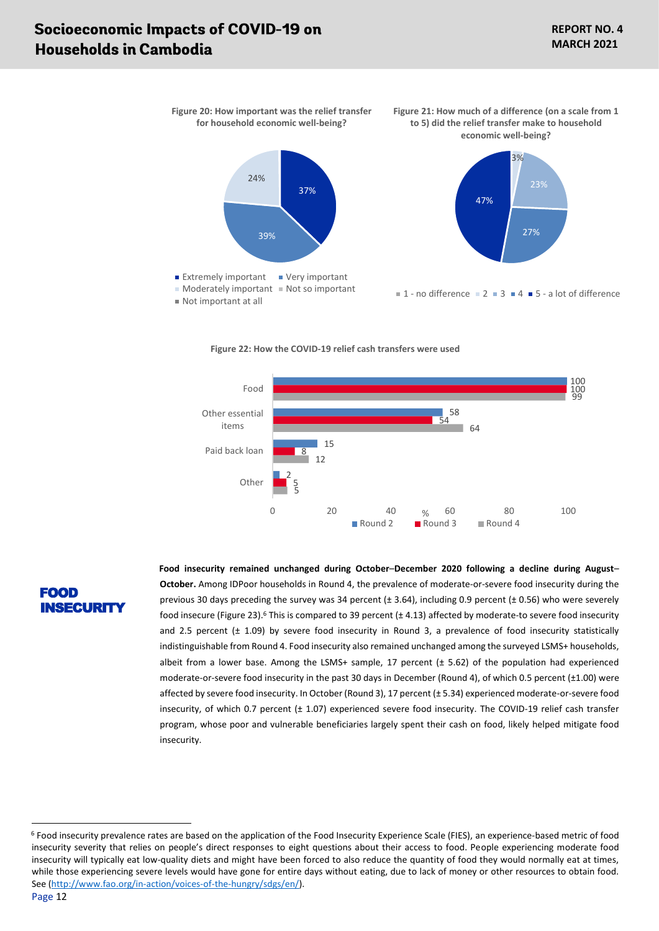<span id="page-11-1"></span><span id="page-11-0"></span>

<span id="page-11-2"></span>

**Figure 22: How the COVID-19 relief cash transfers were used**

### FOOD ISECURIT

**Food insecurity remained unchanged during October**–**December 2020 following a decline during August**– **October.** Among IDPoor households in Round 4, the prevalence of moderate-or-severe food insecurity during the previous 30 days preceding the survey was 34 percent (± 3.64), including 0.9 percent (± 0.56) who were severely food insecure [\(Figure 23\)](#page-12-0).<sup>6</sup> This is compared to 39 percent (± 4.13) affected by moderate-to severe food insecurity and 2.5 percent (± 1.09) by severe food insecurity in Round 3, a prevalence of food insecurity statistically indistinguishable from Round 4. Food insecurity also remained unchanged among the surveyed LSMS+ households, albeit from a lower base. Among the LSMS+ sample, 17 percent  $(t 5.62)$  of the population had experienced moderate-or-severe food insecurity in the past 30 days in December (Round 4), of which 0.5 percent (±1.00) were affected by severe food insecurity. In October (Round 3), 17 percent (± 5.34) experienced moderate-or-severe food insecurity, of which 0.7 percent (± 1.07) experienced severe food insecurity. The COVID-19 relief cash transfer program, whose poor and vulnerable beneficiaries largely spent their cash on food, likely helped mitigate food insecurity.

<sup>6</sup> Food insecurity prevalence rates are based on the application of the Food Insecurity Experience Scale (FIES), an experience-based metric of food insecurity severity that relies on people's direct responses to eight questions about their access to food. People experiencing moderate food insecurity will typically eat low-quality diets and might have been forced to also reduce the quantity of food they would normally eat at times, while those experiencing severe levels would have gone for entire days without eating, due to lack of money or other resources to obtain food. See [\(http://www.fao.org/in-action/voices-of-the-hungry/sdgs/en/\)](http://www.fao.org/in-action/voices-of-the-hungry/sdgs/en/).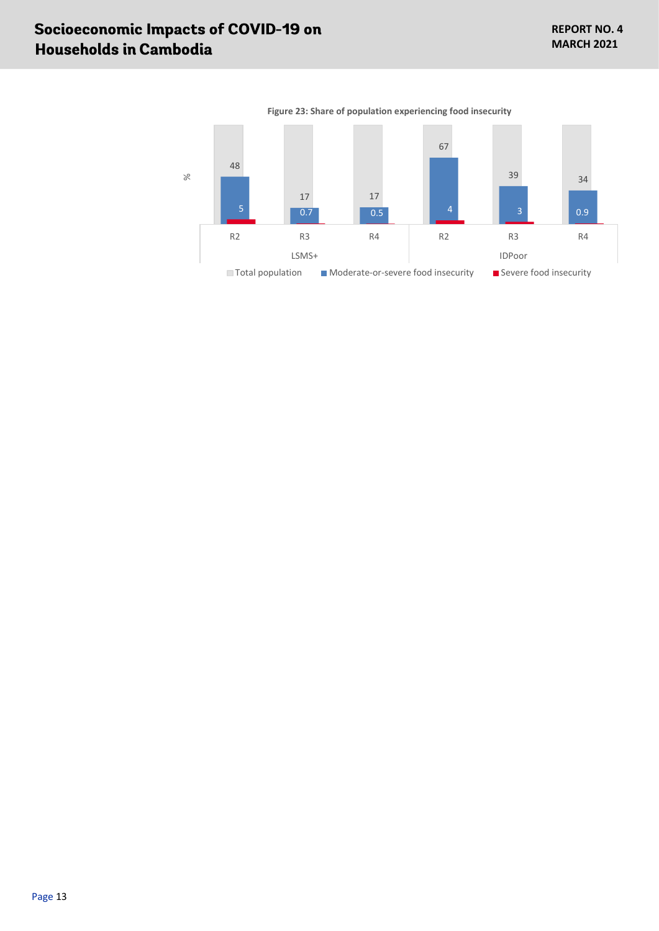<span id="page-12-0"></span>

**Figure 23: Share of population experiencing food insecurity**